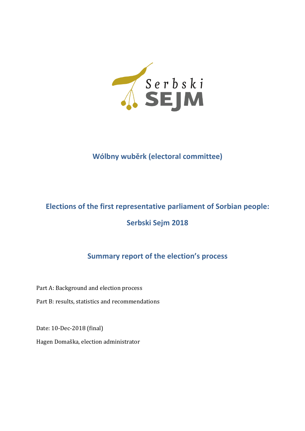

## **Wólbny wuběrk (electoral committee)**

# **Elections of the first representative parliament of Sorbian people:**

## **Serbski Sejm 2018**

## **Summary report of the election's process**

Part A: Background and election process

Part B: results, statistics and recommendations

Date: 10-Dec-2018 (final)

Hagen Domaška, election administrator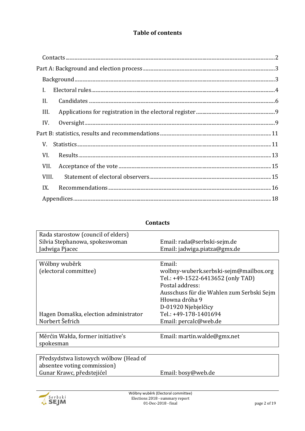### **Table of contents**

| $\mathbf{I}$ . |  |
|----------------|--|
| II.            |  |
| III.           |  |
| IV.            |  |
|                |  |
|                |  |
| VI.            |  |
| VII.           |  |
| VIII.          |  |
| IX.            |  |
|                |  |

#### **Contacts**

<span id="page-1-0"></span>

| Rada starostow (council of elders)    |                                           |
|---------------------------------------|-------------------------------------------|
| Silvia Stephanowa, spokeswoman        | Email: rada@serbski-sejm.de               |
| Jadwiga Pjacec                        | Email: jadwiga.piatza@gmx.de              |
|                                       |                                           |
| Wólbny wuběrk                         | Email:                                    |
| (electoral committee)                 | wolbny-wuberk.serbski-sejm@mailbox.org    |
|                                       | Tel.: +49-1522-6413652 (only TAD)         |
|                                       |                                           |
|                                       | Postal address:                           |
|                                       | Ausschuss für die Wahlen zum Serbski Sejm |
|                                       | Hłowna dróha 9                            |
|                                       | D-01920 Njebjelčicy                       |
| Hagen Domaška, election administrator | Tel.: +49-178-1401694                     |
| Norbert Šefrich                       | Email: percalc@web.de                     |
|                                       |                                           |
| Měrćin Wałda, former initiative's     | Email: martin.walde@gmx.net               |
| spokesman                             |                                           |
|                                       |                                           |
| Předsydstwa listowych wólbow (Head of |                                           |
| absentee voting commission)           |                                           |

Gunar Krawc, předstejićel Email: bosy@web.de

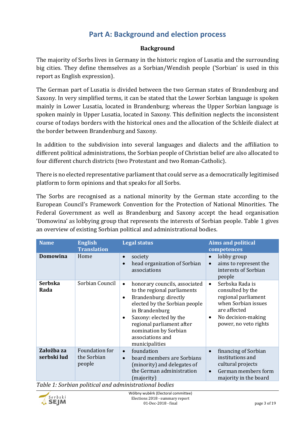## **Part A: Background and election process**

#### **Background**

<span id="page-2-1"></span><span id="page-2-0"></span>The majority of Sorbs lives in Germany in the historic region of Lusatia and the surrounding big cities. They define themselves as a Sorbian/Wendish people ('Sorbian' is used in this report as English expression).

The German part of Lusatia is divided between the two German states of Brandenburg and Saxony. In very simplified terms, it can be stated that the Lower Sorbian language is spoken mainly in Lower Lusatia, located in Brandenburg; whereas the Upper Sorbian language is spoken mainly in Upper Lusatia, located in Saxony. This definition neglects the inconsistent course of todays borders with the historical ones and the allocation of the Schleife dialect at the border between Brandenburg and Saxony.

In addition to the subdivision into several languages and dialects and the affiliation to different political administrations, the Sorbian people of Christian belief are also allocated to four different church districts (two Protestant and two Roman-Catholic).

There is no elected representative parliament that could serve as a democratically legitimised platform to form opinions and that speaks for all Sorbs.

The Sorbs are recognised as a national minority by the German state according to the European Council's Framework Convention for the Protection of National Minorities. The Federal Government as well as Brandenburg and Saxony accept the head organisation 'Domowina' as lobbying group that represents the interests of Sorbian people. [Table 1](#page-2-2) gives an overview of existing Sorbian political and administrational bodies.

| <b>Name</b>               | <b>English</b><br><b>Translation</b>    | <b>Legal status</b>                                                                                                                                                                                                                                                                                   | <b>Aims and political</b><br>competences                                                                                                                                   |
|---------------------------|-----------------------------------------|-------------------------------------------------------------------------------------------------------------------------------------------------------------------------------------------------------------------------------------------------------------------------------------------------------|----------------------------------------------------------------------------------------------------------------------------------------------------------------------------|
| <b>Domowina</b>           | Home                                    | society<br>$\bullet$<br>head organization of Sorbian<br>$\bullet$<br>associations                                                                                                                                                                                                                     | lobby group<br>$\bullet$<br>aims to represent the<br>$\bullet$<br>interests of Sorbian<br>people                                                                           |
| <b>Serbska</b><br>Rada    | Sorbian Council                         | honorary councils, associated<br>$\bullet$<br>to the regional parliaments<br>Brandenburg: directly<br>$\bullet$<br>elected by the Sorbian people<br>in Brandenburg<br>Saxony: elected by the<br>$\bullet$<br>regional parliament after<br>nomination by Sorbian<br>associations and<br>municipalities | Serbska Rada is<br>$\bullet$<br>consulted by the<br>regional parliament<br>when Sorbian issues<br>are affected<br>No decision-making<br>$\bullet$<br>power, no veto rights |
| Załožba za<br>serbski lud | Foundation for<br>the Sorbian<br>people | foundation<br>$\bullet$<br>board members are Sorbians<br>$\bullet$<br>(minority) and delegates of<br>the German administration<br>(majority)                                                                                                                                                          | financing of Sorbian<br>$\bullet$<br>institutions and<br>cultural projects<br>German members form<br>$\bullet$<br>majority in the board                                    |

<span id="page-2-2"></span>*Table 1: Sorbian political and administrational bodies*

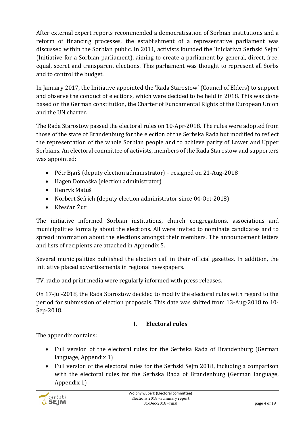After external expert reports recommended a democratisation of Sorbian institutions and a reform of financing processes, the establishment of a representative parliament was discussed within the Sorbian public. In 2011, activists founded the 'Iniciatiwa Serbski Sejm' (Initiative for a Sorbian parliament), aiming to create a parliament by general, direct, free, equal, secret and transparent elections. This parliament was thought to represent all Sorbs and to control the budget.

In January 2017, the Initiative appointed the 'Rada Starostow' (Council of Elders) to support and observe the conduct of elections, which were decided to be held in 2018. This was done based on the German constitution, the Charter of Fundamental Rights of the European Union and the UN charter.

The Rada Starostow passed the electoral rules on 10-Apr-2018. The rules were adopted from those of the state of Brandenburg for the election of the Serbska Rada but modified to reflect the representation of the whole Sorbian people and to achieve parity of Lower and Upper Sorbians. An electoral committee of activists, members of the Rada Starostow and supporters was appointed:

- Pětr Bjarš (deputy election administrator) resigned on 21-Aug-2018
- Hagen Domaška (election administrator)
- Henryk Matuš
- Norbert Šefrich (deputy election administrator since 04-Oct-2018)
- Křesćan Žur

The initiative informed Sorbian institutions, church congregations, associations and municipalities formally about the elections. All were invited to nominate candidates and to spread information about the elections amongst their members. The announcement letters and lists of recipients are attached in [Appendix 5.](#page-17-1)

Several municipalities published the election call in their official gazettes. In addition, the initiative placed advertisements in regional newspapers.

TV, radio and print media were regularly informed with press releases.

On 17-Jul-2018, the Rada Starostow decided to modify the electoral rules with regard to the period for submission of election proposals. This date was shifted from 13-Aug-2018 to 10- Sep-2018.

## **I. Electoral rules**

<span id="page-3-0"></span>The appendix contains:

- Full version of the electoral rules for the Serbska Rada of Brandenburg (German language, [Appendix 1\)](#page-17-2)
- Full version of the electoral rules for the Serbski Sejm 2018, including a comparison with the electoral rules for the Serbska Rada of Brandenburg (German language, [Appendix 1\)](#page-17-2)

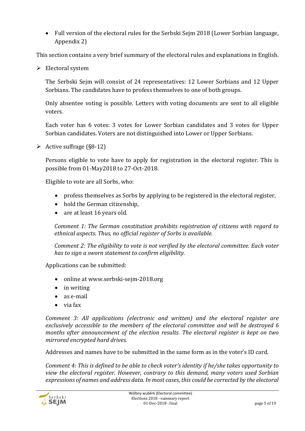• Full version of the electoral rules for the Serbski Sejm 2018 (Lower Sorbian language, [Appendix 2\)](#page-17-3)

This section contains a very brief summary of the electoral rules and explanations in English.

➢ Electoral system

The Serbski Sejm will consist of 24 representatives: 12 Lower Sorbians and 12 Upper Sorbians. The candidates have to profess themselves to one of both groups.

Only absentee voting is possible. Letters with voting documents are sent to all eligible voters.

Each voter has 6 votes: 3 votes for Lower Sorbian candidates and 3 votes for Upper Sorbian candidates. Voters are not distinguished into Lower or Upper Sorbians.

 $\triangleright$  Active suffrage (§8-12)

Persons eligible to vote have to apply for registration in the electoral register. This is possible from 01-May2018 to 27-Oct-2018.

Eligible to vote are all Sorbs, who:

- profess themselves as Sorbs by applying to be registered in the electoral register,
- hold the German citizenship.
- are at least 16 years old.

*Comment 1: The German constitution prohibits registration of citizens with regard to ethnical aspects. Thus, no official register of Sorbs is available.*

*Comment 2: The eligibility to vote is not verified by the electoral committee. Each voter has to sign a sworn statement to confirm eligibility.*

Applications can be submitted:

- online at www.serbski-seim-2018.org
- in writing
- as e-mail
- via fax

*Comment 3: All applications (electronic and written) and the electoral register are exclusively accessible to the members of the electoral committee and will be destroyed 6 months after announcement of the election results. The electoral register is kept on two mirrored encrypted hard drives.*

Addresses and names have to be submitted in the same form as in the voter's ID card.

*Comment 4: This is defined to be able to check voter's identity if he/she takes opportunity to view the electoral register. However, contrary to this demand, many voters used Sorbian expressions of names and address data. In most cases, this could be corrected by the electoral* 

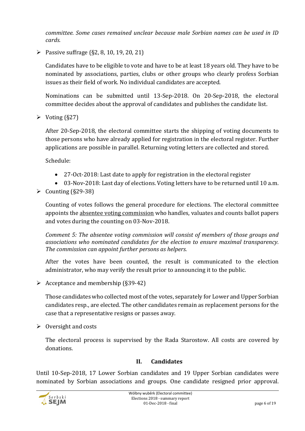*committee. Some cases remained unclear because male Sorbian names can be used in ID cards.*

 $\triangleright$  Passive suffrage (§2, 8, 10, 19, 20, 21)

Candidates have to be eligible to vote and have to be at least 18 years old. They have to be nominated by associations, parties, clubs or other groups who clearly profess Sorbian issues as their field of work. No individual candidates are accepted.

Nominations can be submitted until 13-Sep-2018. On 20-Sep-2018, the electoral committee decides about the approval of candidates and publishes the candidate list.

 $\triangleright$  Voting (§27)

After 20-Sep-2018, the electoral committee starts the shipping of voting documents to those persons who have already applied for registration in the electoral register. Further applications are possible in parallel. Returning voting letters are collected and stored.

Schedule:

- 27-Oct-2018: Last date to apply for registration in the electoral register
- 03-Nov-2018: Last day of elections. Voting letters have to be returned until 10 a.m.
- $\triangleright$  Counting (§29-38)

Counting of votes follows the general procedure for elections. The electoral committee appoints the absentee voting commission who handles, valuates and counts ballot papers and votes during the counting on 03-Nov-2018.

*Comment 5: The absentee voting commission will consist of members of those groups and associations who nominated candidates for the election to ensure maximal transparency. The commission can appoint further persons as helpers.*

After the votes have been counted, the result is communicated to the election administrator, who may verify the result prior to announcing it to the public.

 $\geqslant$  Acceptance and membership (§39-42)

Those candidates who collected most of the votes, separately for Lower and Upper Sorbian candidates resp., are elected. The other candidates remain as replacement persons for the case that a representative resigns or passes away.

➢ Oversight and costs

The electoral process is supervised by the Rada Starostow. All costs are covered by donations.

#### **II. Candidates**

<span id="page-5-0"></span>Until 10-Sep-2018, 17 Lower Sorbian candidates and 19 Upper Sorbian candidates were nominated by Sorbian associations and groups. One candidate resigned prior approval.

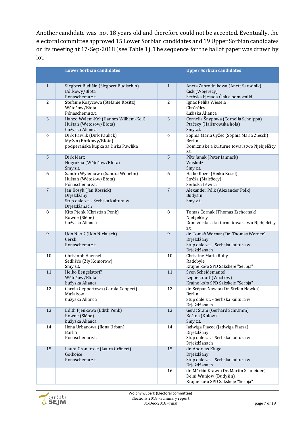Another candidate was not 18 years old and therefore could not be accepted. Eventually, the electoral committee approved 15 Lower Sorbian candidates and 19 Upper Sorbian candidates on its meeting at 17-Sep-2018 (see [Table 1\)](#page-2-2). The sequence for the ballot paper was drawn by lot.

|                | <b>Lower Sorbian candidates</b>                                                             |                | <b>Upper Sorbian candidates</b>                                                                           |
|----------------|---------------------------------------------------------------------------------------------|----------------|-----------------------------------------------------------------------------------------------------------|
| $\mathbf{1}$   | Siegbert Budišin (Siegbert Budischin)<br>Bórkowy/Błota<br>Pónaschemu z.t.                   | $\mathbf{1}$   | Aneta Zahrodnikowa (Anett Sarodnik)<br>Ćisk (Wojerecy)<br>Serbska bjesada Ćisk a pomocniki                |
| 2              | Stefanie Kosycowa (Stefanie Kositz)<br>Wětošow/Błota<br>Pónaschemu z.t.                     | 2              | Ignac Feliks Wjesela<br>Chrósćicy<br>Łužiska Alianca                                                      |
| 3              | Hanzo Wylem-Keł (Hannes Wilhem-Kell)<br>Huštań (Wětošow/Błota)<br>Łužyska Alianca           | 3              | Cornelia Šnypowa (Cornelia Schnippa)<br>Ptačecy (Halštrowska hola)<br>Smy z.t.                            |
| 4              | Dirk Pawlik (Dirk Paulick)<br>Myšyn (Bórkowy/Błota)<br>pódpěrańska kupka za Dirka Pawlika   | 4              | Sophia Maria Cyžec (Sophia Maria Ziesch)<br>Berlin<br>Domizniske a kulturne towarstwo Njebjelčicy<br>z.t. |
| 5              | Dirk Marx<br>Hogrozna (Wětošow/Błota)<br>Smy z.t.                                           | 5              | Pětr Janak (Peter Jannack)<br>Wuskidź<br>Smy z.t.                                                         |
| 6              | Sandra Wylemowa (Sandra Wilhelm)<br>Huštań (Wětošow/Błota)<br>Pónaschemu z.t.               | 6              | Hajko Kozel (Heiko Kosel)<br>Stróža (Malešecy)<br>Serbska Lěwica                                          |
| $\overline{7}$ | Jan Kosyk (Jan Kossick)<br>Drježdźany<br>Stup dale z.t. - Serbska kultura w<br>Drježdźanach | $\overline{7}$ | Alexander Pólk (Alexander Polk)<br>Budyšin<br>Smy z.t.                                                    |
| 8              | Kito Pjenk (Christian Penk)<br>Rowne (Slěpe)<br>Łužyska Alianca                             | 8              | Tomaš Čornak (Thomas Zschornak)<br>Njebjelčicy<br>Domizniske a kulturne towarstwo Njebjelčicy<br>z.t.     |
| 9              | Udo Nikuš (Udo Nickusch)<br>Cersk<br>Pónaschemu z.t.                                        | 9              | dr. Tomaš Wornar (Dr. Thomas Werner)<br>Drježdźany<br>Stup dale z.t. - Serbska kultura w<br>Drježdźanach  |
| 10             | Christoph Haensel<br>Sedlišćo (Zły Komorow)<br>Smy z.t.                                     | 10             | Christine Maria Ruby<br>Radobyle<br>Krajne koło SPD Sakskeje "Serbja"                                     |
| 11             | Heiko Bengelstorff<br>Wětošow/Błota<br>Łužyska Alianca                                      | 11             | Sven Scheidemantel<br>Leppersdorf (Wachow)<br>Krajne koło SPD Sakskeje "Serbja"                           |
| 12             | Carola Geppertowa (Carola Geppert)<br>Mužakow<br>Łužyska Alianca                            | 12             | dr. Sćěpan Nawka (Dr. Stefan Nawka)<br>Berlin<br>Stup dale z.t. - Serbska kultura w<br>Drježdźanach       |
| 13             | Edith Pjenkowa (Edith Penk)<br>Rowne (Slěpe)<br>Łužyska Alianca                             | 13             | Gerat Šram (Gerhard Schramm)<br>Koćina (Kulow)<br>Smy z.t.                                                |
| 14             | Ilona Urbanowa (Ilona Urban)<br>Barliń<br>Pónaschemu z.t.                                   | 14             | Jadwiga Pjacec (Jadwiga Piatza)<br>Drježdźany<br>Stup dale z.t. - Serbska kultura w<br>Drježdźanach       |
| 15             | Laura Grönertojc (Laura Grönert)<br>Gołkojce<br>Pónaschemu z.t.                             | 15             | dr. Andreas Kluge<br>Drježdźany<br>Stup dale z.t. - Serbska kultura w<br>Drježdźanach                     |
|                |                                                                                             | 16             | dr. Měrćin Krawc (Dr. Martin Schneider)<br>Delni Wunjow (Budyšin)<br>Krajne koło SPD Sakskeje "Serbja"    |

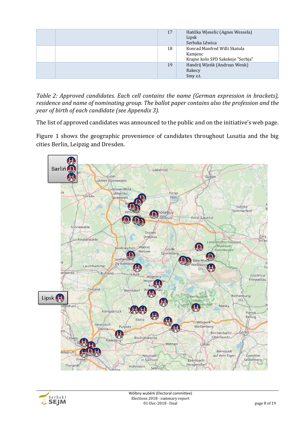| 17 | Hańžka Wjeselic (Agnes Wessela)<br>Lipsk<br>Serbska Lěwica                   |
|----|------------------------------------------------------------------------------|
| 18 | Konrad Manfred Willi Skatula<br>Kamjenc<br>Krajne koło SPD Sakskeje "Serbja" |
| 19 | Handrij Wjeńk (Andreas Wenk)<br>Rakecy<br>Smy z.t.                           |

*Table 2: Approved candidates. Each cell contains the name (German expression in brackets), residence and name of nominating group. The ballot paper contains also the profession and the year of birth of each candidate (se[e Appendix 3\)](#page-17-4).*

The list of approved candidates was announced to the public and on the initiative's web page.

[Figure 1](#page-8-2) shows the geographic provenience of candidates throughout Lusatia and the big cities Berlin, Leipzig and Dresden.



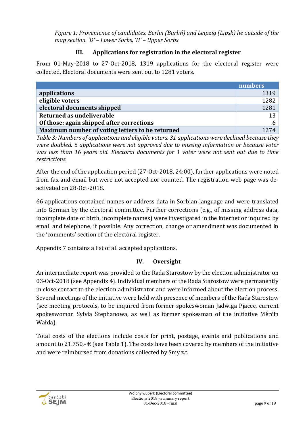<span id="page-8-2"></span>*Figure 1: Provenience of candidates. Berlin (Barliń) and Leipzig (Lipsk) lie outside of the map section. 'D' – Lower Sorbs, 'H' – Upper Sorbs*

### **III. Applications for registration in the electoral register**

<span id="page-8-0"></span>From 01-May-2018 to 27-Oct-2018, 1319 applications for the electoral register were collected. Electoral documents were sent out to 1281 voters.

|                                                 | <b>numbers</b> |
|-------------------------------------------------|----------------|
| applications                                    | 1319           |
| eligible voters                                 | 1282           |
| electoral documents shipped                     | 1281           |
| Returned as undeliverable                       | 13             |
| Of those: again shipped after corrections       | 6              |
| Maximum number of voting letters to be returned | 1274           |

<span id="page-8-3"></span>*Table 3: Numbers of applications and eligible voters. 31 applications were declined because they were doubled. 6 applications were not approved due to missing information or because voter was less than 16 years old. Electoral documents for 1 voter were not sent out due to time restrictions.*

After the end of the application period (27-Oct-2018, 24:00), further applications were noted from fax and email but were not accepted nor counted. The registration web page was deactivated on 28-Oct-2018.

66 applications contained names or address data in Sorbian language and were translated into German by the electoral committee. Further corrections (e.g., of missing address data, incomplete date of birth, incomplete names) were investigated in the internet or inquired by email and telephone, if possible. Any correction, change or amendment was documented in the 'comments' section of the electoral register.

[Appendix 7](#page-17-5) contains a list of all accepted applications.

## **IV. Oversight**

<span id="page-8-1"></span>An intermediate report was provided to the Rada Starostow by the election administrator on 03-Oct-2018 (see [Appendix 4\)](#page-17-6). Individual members of the Rada Starostow were permanently in close contact to the election administrator and were informed about the election process. Several meetings of the initiative were held with presence of members of the Rada Starostow (see meeting protocols, to be inquired from former spokeswoman Jadwiga Pjacec, current spokeswoman Sylvia Stephanowa, as well as former spokesman of the initiative Měrćin Wałda).

Total costs of the elections include costs for print, postage, events and publications and amount to 21.750,-  $\epsilon$  (se[e Table 1\)](#page-2-2). The costs have been covered by members of the initiative and were reimbursed from donations collected by Smy z.t.

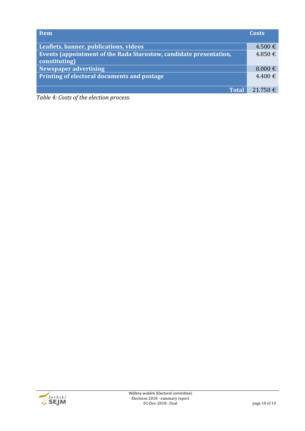| Item                                                                                | <b>Costs</b> |
|-------------------------------------------------------------------------------------|--------------|
| Leaflets, banner, publications, videos                                              | $4.500 \in$  |
| Events (appointment of the Rada Starostow, candidate presentation,<br>constituting) | $4.850 \in$  |
| Newspaper advertising                                                               | $8.000 \in$  |
| Printing of electoral documents and postage                                         | $4.400 \in$  |
| <b>Total</b>                                                                        | 21.750 €     |

*Table 4: Costs of the election process.*

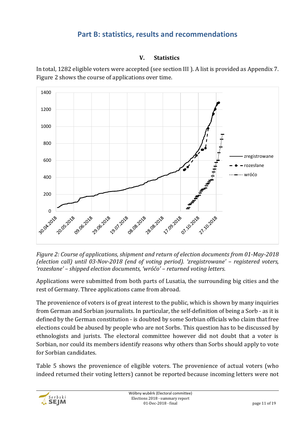## **Part B: statistics, results and recommendations**

#### **V. Statistics**

<span id="page-10-1"></span><span id="page-10-0"></span>



<span id="page-10-2"></span>*Figure 2: Course of applications, shipment and return of election documents from 01-May-2018 (election call) until 03-Nov-2018 (end of voting period). 'zregistrowane' – registered voters, 'rozesłane' – shipped election documents, 'wróćo' – returned voting letters.*

Applications were submitted from both parts of Lusatia, the surrounding big cities and the rest of Germany. Three applications came from abroad.

The provenience of voters is of great interest to the public, which is shown by many inquiries from German and Sorbian journalists. In particular, the self-definition of being a Sorb - as it is defined by the German constitution - is doubted by some Sorbian officials who claim that free elections could be abused by people who are not Sorbs. This question has to be discussed by ethnologists and jurists. The electoral committee however did not doubt that a voter is Sorbian, nor could its members identify reasons why others than Sorbs should apply to vote for Sorbian candidates.

[Table 5](#page-12-1) shows the provenience of eligible voters. The provenience of actual voters (who indeed returned their voting letters) cannot be reported because incoming letters were not

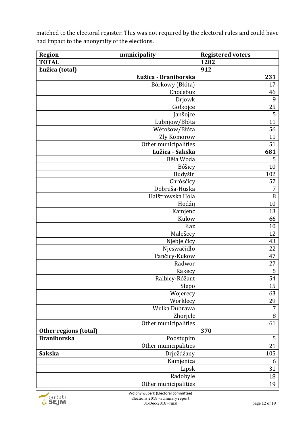matched to the electoral register. This was not required by the electoral rules and could have had impact to the anonymity of the elections.

| <b>Region</b>         | municipality         | <b>Registered voters</b> |
|-----------------------|----------------------|--------------------------|
| <b>TOTAL</b>          |                      | 1282                     |
| Łužica (total)        |                      | 912                      |
|                       | Łužica - Braniborska | 231                      |
|                       | Bórkowy (Błóta)      | 17                       |
|                       | Choćebuz             | 46                       |
|                       | Drjowk               | 9                        |
|                       | Gołkojce             | 25                       |
|                       | Janšojce             | 5                        |
|                       | Lubnjow/Błóta        | 11                       |
|                       | Wětošow/Błóta        | 56                       |
|                       | Zły Komorow          | 11                       |
|                       | Other municipalities | 51                       |
|                       | Łužica - Sakska      | 681                      |
|                       | Běła Woda            | 5                        |
|                       | Bóšicy               | 10                       |
|                       | Budyšin              | 102                      |
|                       | Chrósćicy            | 57                       |
|                       | Dobruša-Huska        | 7                        |
|                       | Halštrowska Hola     | $\, 8$                   |
|                       | Hodźij               | 10                       |
|                       | Kamjenc              | 13                       |
|                       | Kulow                | 66                       |
|                       | Łaz                  | 10                       |
|                       | Malešecy             | 12                       |
|                       | Njebjelčicy          | 43                       |
|                       | Njeswačidło          | 22                       |
|                       | Pančicy-Kukow        | 47                       |
|                       | Radwor               | 27                       |
|                       | Rakecy               | 5                        |
|                       | Ralbicy-Róžant       | 54                       |
|                       | Slepo                | 15                       |
|                       | Wojerecy             | 63                       |
|                       | Worklecy             | 29                       |
|                       | Wulka Dubrawa        | $\overline{7}$           |
|                       | Zhorjelc             | $\, 8$                   |
|                       | Other municipalities | 61                       |
| Other regions (total) |                      | 370                      |
| <b>Braniborska</b>    | Podstupim            | 5                        |
|                       | Other municipalities | 21                       |
| <b>Sakska</b>         | Drježdźany           | 105                      |
|                       | Kamjenica            | 6                        |
|                       | Lipsk                | 31                       |
|                       | Radobyle             | 18                       |
|                       | Other municipalities | 19                       |

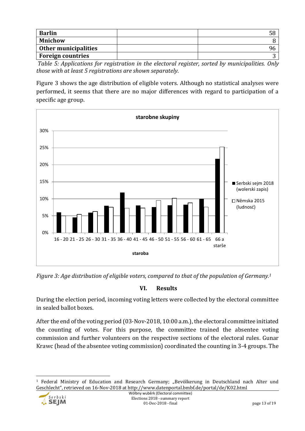| <b>Barlin</b>               |  |
|-----------------------------|--|
| <b>Mnichow</b>              |  |
| <b>Other municipalities</b> |  |
| <b>Foreign countries</b>    |  |

<span id="page-12-1"></span>*Table 5: Applications for registration in the electoral register, sorted by municipalities. Only those with at least 5 registrations are shown separately.*

[Figure 3](#page-12-2) shows the age distribution of eligible voters. Although no statistical analyses were performed, it seems that there are no major differences with regard to participation of a specific age group.



<span id="page-12-2"></span>*Figure 3: Age distribution of eligible voters, compared to that of the population of Germany.<sup>1</sup>*

## **VI. Results**

<span id="page-12-0"></span>During the election period, incoming voting letters were collected by the electoral committee in sealed ballot boxes.

After the end of the voting period (03-Nov-2018, 10:00 a.m.), the electoral committee initiated the counting of votes. For this purpose, the committee trained the absentee voting commission and further volunteers on the respective sections of the electoral rules. Gunar Krawc (head of the absentee voting commission) coordinated the counting in 3-4 groups. The

l <sup>1</sup> Federal Ministry of Education and Research Germany; "Bevölkerung in Deutschland nach Alter und Geschlecht", retrieved on 16-Nov-2018 at http://www.datenportal.bmbf.de/portal/de/K02.html

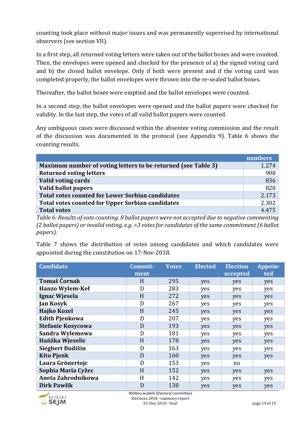counting took place without major issues and was permanently supervised by international observers (see section [VII\)](#page-14-0).

In a first step, all returned voting letters were taken out of the ballot boxes and were counted. Then, the envelopes were opened and checked for the presence of a) the signed voting card and b) the closed ballot envelope. Only if both were present and if the voting card was completed properly, the ballot envelopes were thrown into the re-sealed ballot boxes.

Thereafter, the ballot boxes were emptied and the ballot envelopes were counted.

In a second step, the ballot envelopes were opened and the ballot papers were checked for validity. In the last step, the votes of all valid ballot papers were counted.

Any ambiguous cases were discussed within the absentee voting commission and the result of the discussion was documented in the protocol (see [Appendix 9\)](#page-18-0). [Table 6](#page-13-0) shows the counting results.

|                                                               | numbers |
|---------------------------------------------------------------|---------|
| Maximum number of voting letters to be returned (see Table 3) | 1.274   |
| <b>Returned voting letters</b>                                | 908     |
| Valid voting cards                                            | 836     |
| <b>Valid ballot papers</b>                                    | 828     |
| <b>Total votes counted for Lower Sorbian candidates</b>       | 2.173   |
| <b>Total votes counted for Upper Sorbian candidates</b>       | 2.302   |
| <b>Total votes</b>                                            | 4475    |

<span id="page-13-0"></span>*Table 6: Results of vote counting. 8 ballot papers were not accepted due to negative commenting (2 ballot papers) or invalid voting, e.g. >3 votes for candidates of the same commitment (6 ballot papers).*

[Table 7](#page-14-2) shows the distribution of votes among candidates and which candidates were appointed during the constitution on 17-Nov-2018.

| <b>Candidate</b>         | Commit- | <b>Votes</b> | <b>Elected</b> | <b>Election</b> | Appoin- |
|--------------------------|---------|--------------|----------------|-----------------|---------|
|                          | ment    |              |                | accepted        | ted     |
| Tomaš Čornak             | H       | 295          | yes            | yes             | yes     |
| <b>Hanzo Wylem-Keł</b>   | D       | 283          | yes            | yes             | yes     |
| Ignac Wjesela            | H       | 272          | yes            | yes             | yes     |
| <b>Jan Kosyk</b>         | D       | 267          | yes            | yes             | yes     |
| <b>Hajko Kozel</b>       | H       | 245          | yes            | yes             | yes     |
| <b>Edith Pjenkowa</b>    | D       | 207          | yes            | yes             | yes     |
| <b>Stefanie Kosycowa</b> | D       | 193          | yes            | yes             | yes     |
| Sandra Wylemowa          | D       | 181          | yes            | yes             | yes     |
| Hańžka Wjeselic          | H       | 178          | yes            | yes             | yes     |
| Siegbert Budišin         | D       | 163          | yes            | yes             | yes     |
| <b>Kito Pjenk</b>        | D       | 160          | yes            | yes             | yes     |
| Laura Grönertojc         | D       | 153          | yes            | no              |         |
| Sophia Maria Cyžec       | H       | 152          | yes            | yes             | yes     |
| Aneta Zahrodnikowa       | H       | 142          | yes            | yes             | yes     |
| <b>Dirk Pawlik</b>       | D       | 138          | yes            | yes             | yes     |

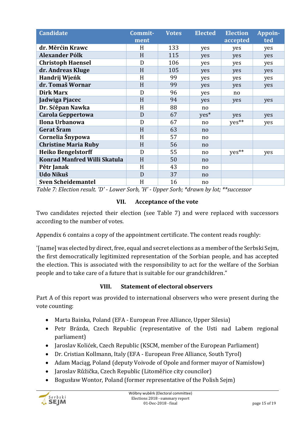| <b>Candidate</b>                    | Commit-<br>ment | <b>Votes</b> | <b>Elected</b> | <b>Election</b><br>accepted | Appoin-<br>ted |
|-------------------------------------|-----------------|--------------|----------------|-----------------------------|----------------|
| dr. Měrćin Krawc                    | H               | 133          | yes            | yes                         | yes            |
| <b>Alexander Pólk</b>               | H               | 115          | yes            | yes                         | yes            |
| <b>Christoph Haensel</b>            | D               | 106          | yes            | yes                         | yes            |
| dr. Andreas Kluge                   | H               | 105          | yes            | yes                         | yes            |
| Handrij Wjeńk                       | H               | 99           | yes            | yes                         | yes            |
| dr. Tomaš Wornar                    | H               | 99           | yes            | yes                         | yes            |
| <b>Dirk Marx</b>                    | D               | 96           | yes            | no                          |                |
| Jadwiga Pjacec                      | H               | 94           | yes            | yes                         | yes            |
| Dr. Sćěpan Nawka                    | H               | 88           | no             |                             |                |
| Carola Geppertowa                   | D               | 67           | $yes*$         | yes                         | yes            |
| Ilona Urbanowa                      | D               | 67           | no             | yes**                       | yes            |
| Gerat Šram                          | H               | 63           | no             |                             |                |
| Cornelia Šnypowa                    | H               | 57           | no             |                             |                |
| <b>Christine Maria Ruby</b>         | H               | 56           | no             |                             |                |
| <b>Heiko Bengelstorff</b>           | D               | 55           | no             | yes**                       | yes            |
| <b>Konrad Manfred Willi Skatula</b> | H               | 50           | no             |                             |                |
| Pětr Janak                          | H               | 43           | no             |                             |                |
| <b>Udo Nikuš</b>                    | D               | 37           | no             |                             |                |
| <b>Sven Scheidemantel</b>           | H               | 16           | no             |                             |                |

<span id="page-14-2"></span>*Table 7: Election result. 'D' - Lower Sorb, 'H' - Upper Sorb; \*drawn by lot; \*\*successor*

#### **VII. Acceptance of the vote**

<span id="page-14-0"></span>Two candidates rejected their election (see [Table 7\)](#page-14-2) and were replaced with successors according to the number of votes.

[Appendix 6](#page-17-7) contains a copy of the appointment certificate. The content reads roughly:

'[name] was elected by direct, free, equal and secret elections as a member of the Serbski Sejm, the first democratically legitimized representation of the Sorbian people, and has accepted the election. This is associated with the responsibility to act for the welfare of the Sorbian people and to take care of a future that is suitable for our grandchildren."

## **VIII. Statement of electoral observers**

<span id="page-14-1"></span>Part A of this report was provided to international observers who were present during the vote counting:

- Marta Bainka, Poland (EFA European Free Alliance, Upper Silesia)
- Petr Brázda, Czech Republic (representative of the Usti nad Labem regional parliament)
- Jaroslav Kolićek, Czech Republic (KSCM, member of the European Parliament)
- Dr. Cristian Kollmann, Italy (EFA European Free Alliance, South Tyrol)
- Adam Maciąg, Poland (deputy Voivode of Opole and former mayor of Namisłow)
- Jaroslav Růžička, Czech Republic (Litoměřice city councilor)
- Bogusław Wontor, Poland (former representative of the Polish Sejm)

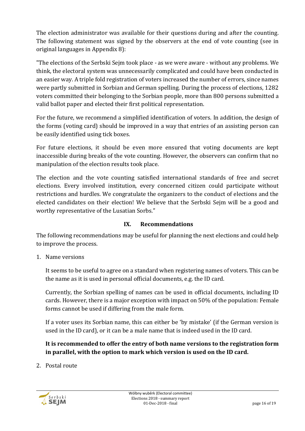The election administrator was available for their questions during and after the counting. The following statement was signed by the observers at the end of vote counting (see in original languages in [Appendix 8\)](#page-18-1):

"The elections of the Serbski Sejm took place - as we were aware - without any problems. We think, the electoral system was unnecessarily complicated and could have been conducted in an easier way. A triple fold registration of voters increased the number of errors, since names were partly submitted in Sorbian and German spelling. During the process of elections, 1282 voters committed their belonging to the Sorbian people, more than 800 persons submitted a valid ballot paper and elected their first political representation.

For the future, we recommend a simplified identification of voters. In addition, the design of the forms (voting card) should be improved in a way that entries of an assisting person can be easily identified using tick boxes.

For future elections, it should be even more ensured that voting documents are kept inaccessible during breaks of the vote counting. However, the observers can confirm that no manipulation of the election results took place.

The election and the vote counting satisfied international standards of free and secret elections. Every involved institution, every concerned citizen could participate without restrictions and hurdles. We congratulate the organizers to the conduct of elections and the elected candidates on their election! We believe that the Serbski Sejm will be a good and worthy representative of the Lusatian Sorbs."

## **IX. Recommendations**

<span id="page-15-0"></span>The following recommendations may be useful for planning the next elections and could help to improve the process.

1. Name versions

It seems to be useful to agree on a standard when registering names of voters. This can be the name as it is used in personal official documents, e.g. the ID card.

Currently, the Sorbian spelling of names can be used in official documents, including ID cards. However, there is a major exception with impact on 50% of the population: Female forms cannot be used if differing from the male form.

If a voter uses its Sorbian name, this can either be 'by mistake' (if the German version is used in the ID card), or it can be a male name that is indeed used in the ID card.

**It is recommended to offer the entry of both name versions to the registration form in parallel, with the option to mark which version is used on the ID card.**

2. Postal route

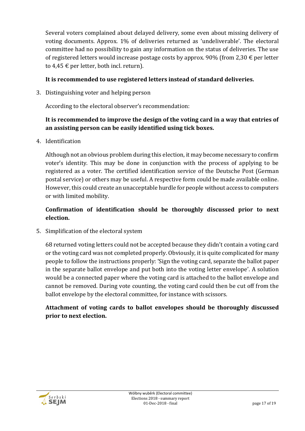Several voters complained about delayed delivery, some even about missing delivery of voting documents. Approx. 1% of deliveries returned as 'undeliverable'. The electoral committee had no possibility to gain any information on the status of deliveries. The use of registered letters would increase postage costs by approx. 90% (from 2,30  $\epsilon$  per letter to  $4.45 \text{ } \in$  per letter, both incl. return).

## **It is recommended to use registered letters instead of standard deliveries.**

3. Distinguishing voter and helping person

According to the electoral observer's recommendation:

## **It is recommended to improve the design of the voting card in a way that entries of an assisting person can be easily identified using tick boxes.**

4. Identification

Although not an obvious problem during this election, it may become necessary to confirm voter's identity. This may be done in conjunction with the process of applying to be registered as a voter. The certified identification service of the Deutsche Post (German postal service) or others may be useful. A respective form could be made available online. However, this could create an unacceptable hurdle for people without access to computers or with limited mobility.

## **Confirmation of identification should be thoroughly discussed prior to next election.**

5. Simplification of the electoral system

68 returned voting letters could not be accepted because they didn't contain a voting card or the voting card was not completed properly. Obviously, it is quite complicated for many people to follow the instructions properly: 'Sign the voting card, separate the ballot paper in the separate ballot envelope and put both into the voting letter envelope'. A solution would be a connected paper where the voting card is attached to the ballot envelope and cannot be removed. During vote counting, the voting card could then be cut off from the ballot envelope by the electoral committee, for instance with scissors.

## **Attachment of voting cards to ballot envelopes should be thoroughly discussed prior to next election.**

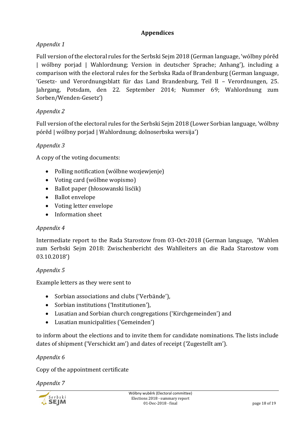### **Appendices**

## <span id="page-17-2"></span><span id="page-17-0"></span>*Appendix 1*

Full version of the electoral rules for the Serbski Sejm 2018 (German language, 'wólbny pórěd | wólbny porjad | Wahlordnung; Version in deutscher Sprache; Anhang'), including a comparison with the electoral rules for the Serbska Rada of Brandenburg (German language, 'Gesetz- und Verordnungsblatt für das Land Brandenburg, Teil II – Verordnungen, 25. Jahrgang, Potsdam, den 22. September 2014; Nummer 69; Wahlordnung zum Sorben/Wenden-Gesetz')

#### <span id="page-17-3"></span>*Appendix 2*

Full version of the electoral rules for the Serbski Sejm 2018 (Lower Sorbian language, 'wólbny pórěd | wólbny porjad | Wahlordnung; dolnoserbska wersija')

#### <span id="page-17-4"></span>*Appendix 3*

A copy of the voting documents:

- Polling notification (wólbne wozjewjenje)
- Voting card (wólbne wopismo)
- Ballot paper (hłosowanski lisćik)
- Ballot envelope
- Voting letter envelope
- Information sheet

#### <span id="page-17-6"></span>*Appendix 4*

Intermediate report to the Rada Starostow from 03-Oct-2018 (German language, 'Wahlen zum Serbski Sejm 2018: Zwischenbericht des Wahlleiters an die Rada Starostow vom 03.10.2018')

#### <span id="page-17-1"></span>*Appendix 5*

Example letters as they were sent to

- Sorbian associations and clubs ('Verbände'),
- Sorbian institutions ('Institutionen'),
- Lusatian and Sorbian church congregations ('Kirchgemeinden') and
- Lusatian municipalities ('Gemeinden')

to inform about the elections and to invite them for candidate nominations. The lists include dates of shipment ('Verschickt am') and dates of receipt ('Zugestellt am').

#### <span id="page-17-7"></span>*Appendix 6*

Copy of the appointment certificate

<span id="page-17-5"></span>*Appendix 7*